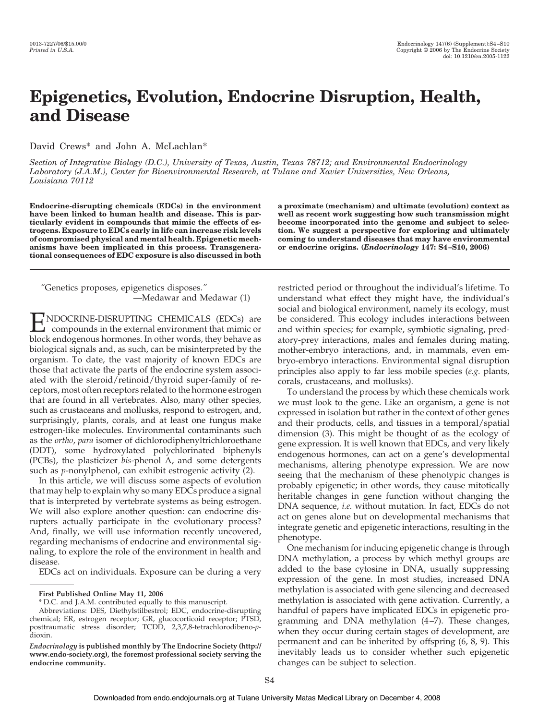# **Epigenetics, Evolution, Endocrine Disruption, Health, and Disease**

David Crews\* and John A. McLachlan\*

*Section of Integrative Biology (D.C.), University of Texas, Austin, Texas 78712; and Environmental Endocrinology Laboratory (J.A.M.), Center for Bioenvironmental Research, at Tulane and Xavier Universities, New Orleans, Louisiana 70112*

**Endocrine-disrupting chemicals (EDCs) in the environment have been linked to human health and disease. This is particularly evident in compounds that mimic the effects of estrogens. Exposure to EDCs early in life can increase risk levels of compromised physical and mental health. Epigenetic mechanisms have been implicated in this process. Transgenerational consequences of EDC exposure is also discussed in both**

*"*Genetics proposes, epigenetics disposes.*"* —Medawar and Medawar (1)

ENDOCRINE-DISRUPTING CHEMICALS (EDCs) are<br>compounds in the external environment that mimic or<br>hard-particular minic or block endogenous hormones. In other words, they behave as biological signals and, as such, can be misinterpreted by the organism. To date, the vast majority of known EDCs are those that activate the parts of the endocrine system associated with the steroid/retinoid/thyroid super-family of receptors, most often receptors related to the hormone estrogen that are found in all vertebrates. Also, many other species, such as crustaceans and mollusks, respond to estrogen, and, surprisingly, plants, corals, and at least one fungus make estrogen-like molecules. Environmental contaminants such as the *ortho*, *para* isomer of dichlorodiphenyltrichloroethane (DDT), some hydroxylated polychlorinated biphenyls (PCBs), the plasticizer *bis*-phenol A, and some detergents such as *p*-nonylphenol, can exhibit estrogenic activity (2).

In this article, we will discuss some aspects of evolution that may help to explain why so many EDCs produce a signal that is interpreted by vertebrate systems as being estrogen. We will also explore another question: can endocrine disrupters actually participate in the evolutionary process? And, finally, we will use information recently uncovered, regarding mechanisms of endocrine and environmental signaling, to explore the role of the environment in health and disease.

EDCs act on individuals. Exposure can be during a very

**a proximate (mechanism) and ultimate (evolution) context as well as recent work suggesting how such transmission might become incorporated into the genome and subject to selection. We suggest a perspective for exploring and ultimately coming to understand diseases that may have environmental or endocrine origins. (***Endocrinology* **147: S4 –S10, 2006)**

restricted period or throughout the individual's lifetime. To understand what effect they might have, the individual's social and biological environment, namely its ecology, must be considered. This ecology includes interactions between and within species; for example, symbiotic signaling, predatory-prey interactions, males and females during mating, mother-embryo interactions, and, in mammals, even embryo-embryo interactions. Environmental signal disruption principles also apply to far less mobile species (*e.g.* plants, corals, crustaceans, and mollusks).

To understand the process by which these chemicals work we must look to the gene. Like an organism, a gene is not expressed in isolation but rather in the context of other genes and their products, cells, and tissues in a temporal/spatial dimension (3). This might be thought of as the ecology of gene expression. It is well known that EDCs, and very likely endogenous hormones, can act on a gene's developmental mechanisms, altering phenotype expression. We are now seeing that the mechanism of these phenotypic changes is probably epigenetic; in other words, they cause mitotically heritable changes in gene function without changing the DNA sequence, *i.e.* without mutation. In fact, EDCs do not act on genes alone but on developmental mechanisms that integrate genetic and epigenetic interactions, resulting in the phenotype.

One mechanism for inducing epigenetic change is through DNA methylation, a process by which methyl groups are added to the base cytosine in DNA, usually suppressing expression of the gene. In most studies, increased DNA methylation is associated with gene silencing and decreased methylation is associated with gene activation. Currently, a handful of papers have implicated EDCs in epigenetic programming and DNA methylation (4 –7). These changes, when they occur during certain stages of development, are permanent and can be inherited by offspring (6, 8, 9). This inevitably leads us to consider whether such epigenetic changes can be subject to selection.

**First Published Online May 11, 2006**

<sup>\*</sup> D.C. and J.A.M. contributed equally to this manuscript.

Abbreviations: DES, Diethylstilbestrol; EDC, endocrine-disrupting chemical; ER, estrogen receptor; GR, glucocorticoid receptor; PTSD, posttraumatic stress disorder; TCDD, 2,3,7,8-tetrachlorodibeno-*p*dioxin.

*Endocrinology* **is published monthly by The Endocrine Society (http:// www.endo-society.org), the foremost professional society serving the endocrine community.**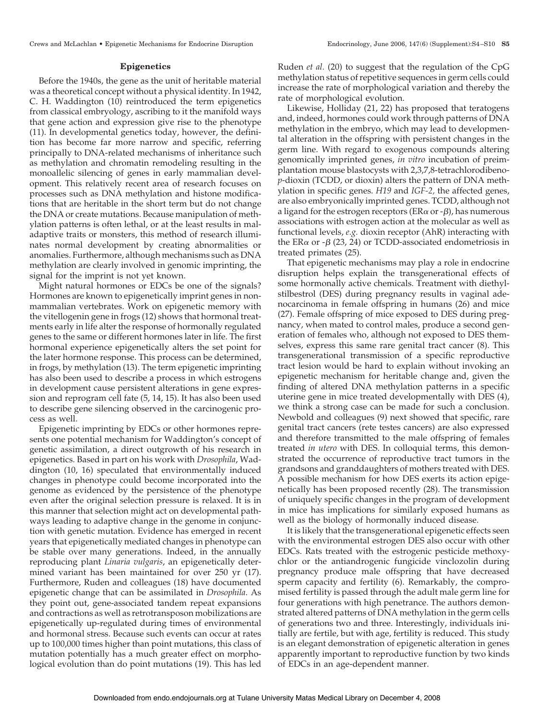# **Epigenetics**

Before the 1940s, the gene as the unit of heritable material was a theoretical concept without a physical identity. In 1942, C. H. Waddington (10) reintroduced the term epigenetics from classical embryology, ascribing to it the manifold ways that gene action and expression give rise to the phenotype (11). In developmental genetics today, however, the definition has become far more narrow and specific, referring principally to DNA-related mechanisms of inheritance such as methylation and chromatin remodeling resulting in the monoallelic silencing of genes in early mammalian development. This relatively recent area of research focuses on processes such as DNA methylation and histone modifications that are heritable in the short term but do not change the DNA or create mutations. Because manipulation of methylation patterns is often lethal, or at the least results in maladaptive traits or monsters, this method of research illuminates normal development by creating abnormalities or anomalies. Furthermore, although mechanisms such as DNA methylation are clearly involved in genomic imprinting, the signal for the imprint is not yet known.

Might natural hormones or EDCs be one of the signals? Hormones are known to epigenetically imprint genes in nonmammalian vertebrates. Work on epigenetic memory with the vitellogenin gene in frogs (12) shows that hormonal treatments early in life alter the response of hormonally regulated genes to the same or different hormones later in life. The first hormonal experience epigenetically alters the set point for the later hormone response. This process can be determined, in frogs, by methylation (13). The term epigenetic imprinting has also been used to describe a process in which estrogens in development cause persistent alterations in gene expression and reprogram cell fate (5, 14, 15). It has also been used to describe gene silencing observed in the carcinogenic process as well.

Epigenetic imprinting by EDCs or other hormones represents one potential mechanism for Waddington's concept of genetic assimilation, a direct outgrowth of his research in epigenetics. Based in part on his work with *Drosophila*, Waddington (10, 16) speculated that environmentally induced changes in phenotype could become incorporated into the genome as evidenced by the persistence of the phenotype even after the original selection pressure is relaxed. It is in this manner that selection might act on developmental pathways leading to adaptive change in the genome in conjunction with genetic mutation. Evidence has emerged in recent years that epigenetically mediated changes in phenotype can be stable over many generations. Indeed, in the annually reproducing plant *Linaria vulgaris*, an epigenetically determined variant has been maintained for over 250 yr (17). Furthermore, Ruden and colleagues (18) have documented epigenetic change that can be assimilated in *Drosophila*. As they point out, gene-associated tandem repeat expansions and contractions as well as retrotransposon mobilizations are epigenetically up-regulated during times of environmental and hormonal stress. Because such events can occur at rates up to 100,000 times higher than point mutations, this class of mutation potentially has a much greater effect on morphological evolution than do point mutations (19). This has led

Ruden *et al.* (20) to suggest that the regulation of the CpG methylation status of repetitive sequences in germ cells could increase the rate of morphological variation and thereby the rate of morphological evolution.

Likewise, Holliday (21, 22) has proposed that teratogens and, indeed, hormones could work through patterns of DNA methylation in the embryo, which may lead to developmental alteration in the offspring with persistent changes in the germ line. With regard to exogenous compounds altering genomically imprinted genes, *in vitro* incubation of preimplantation mouse blastocysts with 2,3,7,8-tetrachlorodibeno*p*-dioxin (TCDD, or dioxin) alters the pattern of DNA methylation in specific genes. *H19* and *IGF-2,* the affected genes, are also embryonically imprinted genes. TCDD, although not a ligand for the estrogen receptors (ER $\alpha$  or - $\beta$ ), has numerous associations with estrogen action at the molecular as well as functional levels, *e.g.* dioxin receptor (AhR) interacting with the ER $\alpha$  or - $\beta$  (23, 24) or TCDD-associated endometriosis in treated primates (25).

That epigenetic mechanisms may play a role in endocrine disruption helps explain the transgenerational effects of some hormonally active chemicals. Treatment with diethylstilbestrol (DES) during pregnancy results in vaginal adenocarcinoma in female offspring in humans (26) and mice (27). Female offspring of mice exposed to DES during pregnancy, when mated to control males, produce a second generation of females who, although not exposed to DES themselves, express this same rare genital tract cancer (8). This transgenerational transmission of a specific reproductive tract lesion would be hard to explain without invoking an epigenetic mechanism for heritable change and, given the finding of altered DNA methylation patterns in a specific uterine gene in mice treated developmentally with DES (4), we think a strong case can be made for such a conclusion. Newbold and colleagues (9) next showed that specific, rare genital tract cancers (rete testes cancers) are also expressed and therefore transmitted to the male offspring of females treated *in utero* with DES. In colloquial terms, this demonstrated the occurrence of reproductive tract tumors in the grandsons and granddaughters of mothers treated with DES. A possible mechanism for how DES exerts its action epigenetically has been proposed recently (28). The transmission of uniquely specific changes in the program of development in mice has implications for similarly exposed humans as well as the biology of hormonally induced disease.

It is likely that the transgenerational epigenetic effects seen with the environmental estrogen DES also occur with other EDCs. Rats treated with the estrogenic pesticide methoxychlor or the antiandrogenic fungicide vinclozolin during pregnancy produce male offspring that have decreased sperm capacity and fertility (6). Remarkably, the compromised fertility is passed through the adult male germ line for four generations with high penetrance. The authors demonstrated altered patterns of DNA methylation in the germ cells of generations two and three. Interestingly, individuals initially are fertile, but with age, fertility is reduced. This study is an elegant demonstration of epigenetic alteration in genes apparently important to reproductive function by two kinds of EDCs in an age-dependent manner.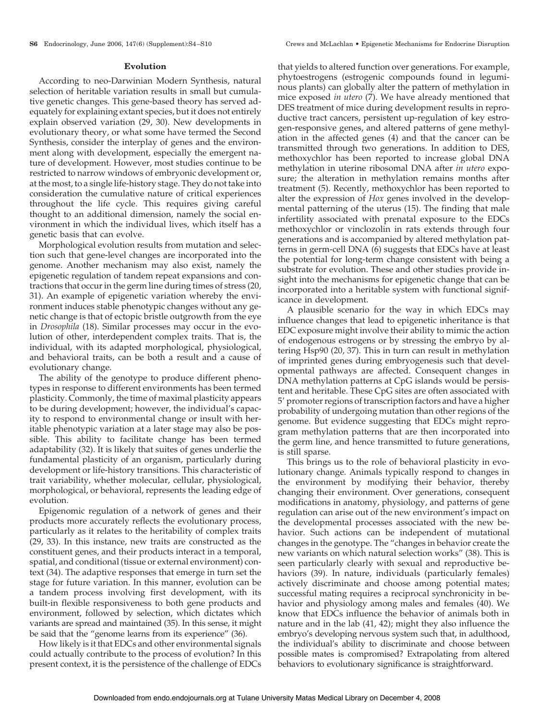# **Evolution**

According to neo-Darwinian Modern Synthesis, natural selection of heritable variation results in small but cumulative genetic changes. This gene-based theory has served adequately for explaining extant species, but it does not entirely explain observed variation (29, 30). New developments in evolutionary theory, or what some have termed the Second Synthesis, consider the interplay of genes and the environment along with development, especially the emergent nature of development. However, most studies continue to be restricted to narrow windows of embryonic development or, at the most, to a single life-history stage. They do not take into consideration the cumulative nature of critical experiences throughout the life cycle. This requires giving careful thought to an additional dimension, namely the social environment in which the individual lives, which itself has a genetic basis that can evolve.

Morphological evolution results from mutation and selection such that gene-level changes are incorporated into the genome. Another mechanism may also exist, namely the epigenetic regulation of tandem repeat expansions and contractions that occur in the germ line during times of stress (20, 31). An example of epigenetic variation whereby the environment induces stable phenotypic changes without any genetic change is that of ectopic bristle outgrowth from the eye in *Drosophila* (18). Similar processes may occur in the evolution of other, interdependent complex traits. That is, the individual, with its adapted morphological, physiological, and behavioral traits, can be both a result and a cause of evolutionary change.

The ability of the genotype to produce different phenotypes in response to different environments has been termed plasticity. Commonly, the time of maximal plasticity appears to be during development; however, the individual's capacity to respond to environmental change or insult with heritable phenotypic variation at a later stage may also be possible. This ability to facilitate change has been termed adaptability (32). It is likely that suites of genes underlie the fundamental plasticity of an organism, particularly during development or life-history transitions. This characteristic of trait variability, whether molecular, cellular, physiological, morphological, or behavioral, represents the leading edge of evolution.

Epigenomic regulation of a network of genes and their products more accurately reflects the evolutionary process, particularly as it relates to the heritability of complex traits (29, 33). In this instance, new traits are constructed as the constituent genes, and their products interact in a temporal, spatial, and conditional (tissue or external environment) context (34). The adaptive responses that emerge in turn set the stage for future variation. In this manner, evolution can be a tandem process involving first development, with its built-in flexible responsiveness to both gene products and environment, followed by selection, which dictates which variants are spread and maintained (35). In this sense, it might be said that the "genome learns from its experience" (36).

How likely is it that EDCs and other environmental signals could actually contribute to the process of evolution? In this present context, it is the persistence of the challenge of EDCs that yields to altered function over generations. For example, phytoestrogens (estrogenic compounds found in leguminous plants) can globally alter the pattern of methylation in mice exposed *in utero* (7). We have already mentioned that DES treatment of mice during development results in reproductive tract cancers, persistent up-regulation of key estrogen-responsive genes, and altered patterns of gene methylation in the affected genes (4) and that the cancer can be transmitted through two generations. In addition to DES, methoxychlor has been reported to increase global DNA methylation in uterine ribosomal DNA after *in utero* exposure; the alteration in methylation remains months after treatment (5). Recently, methoxychlor has been reported to alter the expression of *Hox* genes involved in the developmental patterning of the uterus (15). The finding that male infertility associated with prenatal exposure to the EDCs methoxychlor or vinclozolin in rats extends through four generations and is accompanied by altered methylation patterns in germ-cell DNA (6) suggests that EDCs have at least the potential for long-term change consistent with being a substrate for evolution. These and other studies provide insight into the mechanisms for epigenetic change that can be incorporated into a heritable system with functional significance in development.

A plausible scenario for the way in which EDCs may influence changes that lead to epigenetic inheritance is that EDC exposure might involve their ability to mimic the action of endogenous estrogens or by stressing the embryo by altering Hsp90 (20, 37). This in turn can result in methylation of imprinted genes during embryogenesis such that developmental pathways are affected. Consequent changes in DNA methylation patterns at CpG islands would be persistent and heritable. These CpG sites are often associated with 5' promoter regions of transcription factors and have a higher probability of undergoing mutation than other regions of the genome. But evidence suggesting that EDCs might reprogram methylation patterns that are then incorporated into the germ line, and hence transmitted to future generations, is still sparse.

This brings us to the role of behavioral plasticity in evolutionary change. Animals typically respond to changes in the environment by modifying their behavior, thereby changing their environment. Over generations, consequent modifications in anatomy, physiology, and patterns of gene regulation can arise out of the new environment's impact on the developmental processes associated with the new behavior. Such actions can be independent of mutational changes in the genotype. The "changes in behavior create the new variants on which natural selection works" (38). This is seen particularly clearly with sexual and reproductive behaviors (39). In nature, individuals (particularly females) actively discriminate and choose among potential mates; successful mating requires a reciprocal synchronicity in behavior and physiology among males and females (40). We know that EDCs influence the behavior of animals both in nature and in the lab (41, 42); might they also influence the embryo's developing nervous system such that, in adulthood, the individual's ability to discriminate and choose between possible mates is compromised? Extrapolating from altered behaviors to evolutionary significance is straightforward.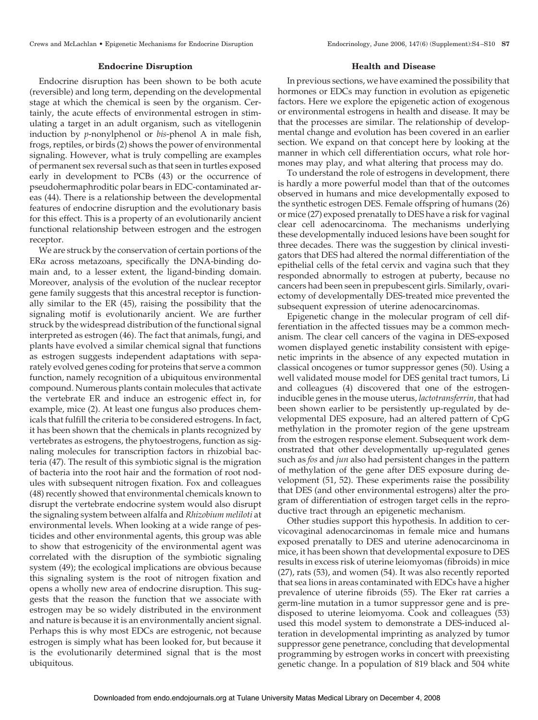## **Endocrine Disruption**

Endocrine disruption has been shown to be both acute (reversible) and long term, depending on the developmental stage at which the chemical is seen by the organism. Certainly, the acute effects of environmental estrogen in stimulating a target in an adult organism, such as vitellogenin induction by *p*-nonylphenol or *bis*-phenol A in male fish, frogs, reptiles, or birds (2) shows the power of environmental signaling. However, what is truly compelling are examples of permanent sex reversal such as that seen in turtles exposed early in development to PCBs (43) or the occurrence of pseudohermaphroditic polar bears in EDC-contaminated areas (44). There is a relationship between the developmental features of endocrine disruption and the evolutionary basis for this effect. This is a property of an evolutionarily ancient functional relationship between estrogen and the estrogen receptor.

We are struck by the conservation of certain portions of the  $ER\alpha$  across metazoans, specifically the DNA-binding domain and, to a lesser extent, the ligand-binding domain. Moreover, analysis of the evolution of the nuclear receptor gene family suggests that this ancestral receptor is functionally similar to the ER (45), raising the possibility that the signaling motif is evolutionarily ancient. We are further struck by the widespread distribution of the functional signal interpreted as estrogen (46). The fact that animals, fungi, and plants have evolved a similar chemical signal that functions as estrogen suggests independent adaptations with separately evolved genes coding for proteins that serve a common function, namely recognition of a ubiquitous environmental compound. Numerous plants contain molecules that activate the vertebrate ER and induce an estrogenic effect in, for example, mice (2). At least one fungus also produces chemicals that fulfill the criteria to be considered estrogens. In fact, it has been shown that the chemicals in plants recognized by vertebrates as estrogens, the phytoestrogens, function as signaling molecules for transcription factors in rhizobial bacteria (47). The result of this symbiotic signal is the migration of bacteria into the root hair and the formation of root nodules with subsequent nitrogen fixation. Fox and colleagues (48) recently showed that environmental chemicals known to disrupt the vertebrate endocrine system would also disrupt the signaling system between alfalfa and *Rhizobium meliloti* at environmental levels. When looking at a wide range of pesticides and other environmental agents, this group was able to show that estrogenicity of the environmental agent was correlated with the disruption of the symbiotic signaling system (49); the ecological implications are obvious because this signaling system is the root of nitrogen fixation and opens a wholly new area of endocrine disruption. This suggests that the reason the function that we associate with estrogen may be so widely distributed in the environment and nature is because it is an environmentally ancient signal. Perhaps this is why most EDCs are estrogenic, not because estrogen is simply what has been looked for, but because it is the evolutionarily determined signal that is the most ubiquitous.

### **Health and Disease**

In previous sections, we have examined the possibility that hormones or EDCs may function in evolution as epigenetic factors. Here we explore the epigenetic action of exogenous or environmental estrogens in health and disease. It may be that the processes are similar. The relationship of developmental change and evolution has been covered in an earlier section. We expand on that concept here by looking at the manner in which cell differentiation occurs, what role hormones may play, and what altering that process may do.

To understand the role of estrogens in development, there is hardly a more powerful model than that of the outcomes observed in humans and mice developmentally exposed to the synthetic estrogen DES. Female offspring of humans (26) or mice (27) exposed prenatally to DES have a risk for vaginal clear cell adenocarcinoma. The mechanisms underlying these developmentally induced lesions have been sought for three decades. There was the suggestion by clinical investigators that DES had altered the normal differentiation of the epithelial cells of the fetal cervix and vagina such that they responded abnormally to estrogen at puberty, because no cancers had been seen in prepubescent girls. Similarly, ovariectomy of developmentally DES-treated mice prevented the subsequent expression of uterine adenocarcinomas.

Epigenetic change in the molecular program of cell differentiation in the affected tissues may be a common mechanism. The clear cell cancers of the vagina in DES-exposed women displayed genetic instability consistent with epigenetic imprints in the absence of any expected mutation in classical oncogenes or tumor suppressor genes (50). Using a well validated mouse model for DES genital tract tumors, Li and colleagues (4) discovered that one of the estrogeninducible genes in the mouse uterus, *lactotransferrin*, that had been shown earlier to be persistently up-regulated by developmental DES exposure, had an altered pattern of CpG methylation in the promoter region of the gene upstream from the estrogen response element. Subsequent work demonstrated that other developmentally up-regulated genes such as *fos* and *jun* also had persistent changes in the pattern of methylation of the gene after DES exposure during development (51, 52). These experiments raise the possibility that DES (and other environmental estrogens) alter the program of differentiation of estrogen target cells in the reproductive tract through an epigenetic mechanism.

Other studies support this hypothesis. In addition to cervicovaginal adenocarcinomas in female mice and humans exposed prenatally to DES and uterine adenocarcinoma in mice, it has been shown that developmental exposure to DES results in excess risk of uterine leiomyomas (fibroids) in mice (27), rats (53), and women (54). It was also recently reported that sea lions in areas contaminated with EDCs have a higher prevalence of uterine fibroids (55). The Eker rat carries a germ-line mutation in a tumor suppressor gene and is predisposed to uterine leiomyoma. Cook and colleagues (53) used this model system to demonstrate a DES-induced alteration in developmental imprinting as analyzed by tumor suppressor gene penetrance, concluding that developmental programming by estrogen works in concert with preexisting genetic change. In a population of 819 black and 504 white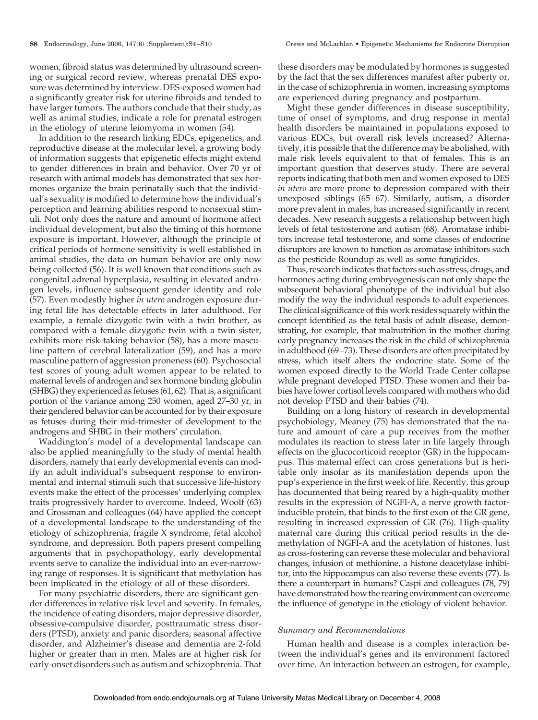women, fibroid status was determined by ultrasound screening or surgical record review, whereas prenatal DES exposure was determined by interview. DES-exposed women had a significantly greater risk for uterine fibroids and tended to have larger tumors. The authors conclude that their study, as well as animal studies, indicate a role for prenatal estrogen in the etiology of uterine leiomyoma in women (54).

In addition to the research linking EDCs, epigenetics, and reproductive disease at the molecular level, a growing body of information suggests that epigenetic effects might extend to gender differences in brain and behavior. Over 70 yr of research with animal models has demonstrated that sex hormones organize the brain perinatally such that the individual's sexuality is modified to determine how the individual's perception and learning abilities respond to nonsexual stimuli. Not only does the nature and amount of hormone affect individual development, but also the timing of this hormone exposure is important. However, although the principle of critical periods of hormone sensitivity is well established in animal studies, the data on human behavior are only now being collected (56). It is well known that conditions such as congenital adrenal hyperplasia, resulting in elevated androgen levels, influence subsequent gender identity and role (57). Even modestly higher *in utero* androgen exposure during fetal life has detectable effects in later adulthood. For example, a female dizygotic twin with a twin brother, as compared with a female dizygotic twin with a twin sister, exhibits more risk-taking behavior (58), has a more masculine pattern of cerebral lateralization (59), and has a more masculine pattern of aggression proneness (60). Psychosocial test scores of young adult women appear to be related to maternal levels of androgen and sex hormone binding globulin (SHBG) they experienced as fetuses (61, 62). That is, a significant portion of the variance among 250 women, aged 27–30 yr, in their gendered behavior can be accounted for by their exposure as fetuses during their mid-trimester of development to the androgens and SHBG in their mothers' circulation.

Waddington's model of a developmental landscape can also be applied meaningfully to the study of mental health disorders, namely that early developmental events can modify an adult individual's subsequent response to environmental and internal stimuli such that successive life-history events make the effect of the processes' underlying complex traits progressively harder to overcome. Indeed, Woolf (63) and Grossman and colleagues (64) have applied the concept of a developmental landscape to the understanding of the etiology of schizophrenia, fragile X syndrome, fetal alcohol syndrome, and depression. Both papers present compelling arguments that in psychopathology, early developmental events serve to canalize the individual into an ever-narrowing range of responses. It is significant that methylation has been implicated in the etiology of all of these disorders.

For many psychiatric disorders, there are significant gender differences in relative risk level and severity. In females, the incidence of eating disorders, major depressive disorder, obsessive-compulsive disorder, posttraumatic stress disorders (PTSD), anxiety and panic disorders, seasonal affective disorder, and Alzheimer's disease and dementia are 2-fold higher or greater than in men. Males are at higher risk for early-onset disorders such as autism and schizophrenia. That these disorders may be modulated by hormones is suggested by the fact that the sex differences manifest after puberty or, in the case of schizophrenia in women, increasing symptoms are experienced during pregnancy and postpartum.

Might these gender differences in disease susceptibility, time of onset of symptoms, and drug response in mental health disorders be maintained in populations exposed to various EDCs, but overall risk levels increased? Alternatively, it is possible that the difference may be abolished, with male risk levels equivalent to that of females. This is an important question that deserves study. There are several reports indicating that both men and women exposed to DES *in utero* are more prone to depression compared with their unexposed siblings (65–67). Similarly, autism, a disorder more prevalent in males, has increased significantly in recent decades. New research suggests a relationship between high levels of fetal testosterone and autism (68). Aromatase inhibitors increase fetal testosterone, and some classes of endocrine disruptors are known to function as aromatase inhibitors such as the pesticide Roundup as well as some fungicides.

Thus, research indicates that factors such as stress, drugs, and hormones acting during embryogenesis can not only shape the subsequent behavioral phenotype of the individual but also modify the way the individual responds to adult experiences. The clinical significance of this work resides squarely within the concept identified as the fetal basis of adult disease, demonstrating, for example, that malnutrition in the mother during early pregnancy increases the risk in the child of schizophrenia in adulthood (69 –73). These disorders are often precipitated by stress, which itself alters the endocrine state. Some of the women exposed directly to the World Trade Center collapse while pregnant developed PTSD. These women and their babies have lower cortisol levels compared with mothers who did not develop PTSD and their babies (74).

Building on a long history of research in developmental psychobiology, Meaney (75) has demonstrated that the nature and amount of care a pup receives from the mother modulates its reaction to stress later in life largely through effects on the glucocorticoid receptor (GR) in the hippocampus. This maternal effect can cross generations but is heritable only insofar as its manifestation depends upon the pup's experience in the first week of life. Recently, this group has documented that being reared by a high-quality mother results in the expression of NGFI-A, a nerve growth factorinducible protein, that binds to the first exon of the GR gene, resulting in increased expression of GR (76). High-quality maternal care during this critical period results in the demethylation of NGFI-A and the acetylation of histones. Just as cross-fostering can reverse these molecular and behavioral changes, infusion of methionine, a histone deacetylase inhibitor, into the hippocampus can also reverse these events (77). Is there a counterpart in humans? Caspi and colleagues (78, 79) have demonstrated how the rearing environment can overcome the influence of genotype in the etiology of violent behavior.

# *Summary and Recommendations*

Human health and disease is a complex interaction between the individual's genes and its environment factored over time. An interaction between an estrogen, for example,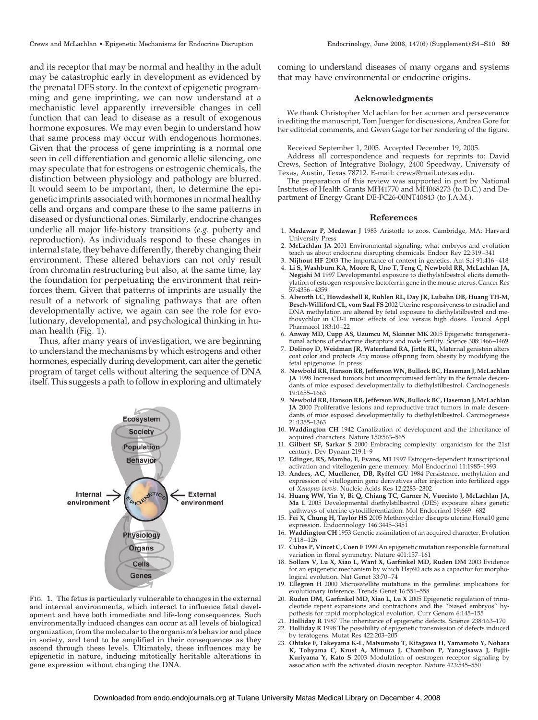Crews and McLachlan • Epigenetic Mechanisms for Endocrine Disruption Endocrinology, June 2006, 147(6) (Supplement):S4 –S10 **S9**

and its receptor that may be normal and healthy in the adult may be catastrophic early in development as evidenced by the prenatal DES story. In the context of epigenetic programming and gene imprinting, we can now understand at a mechanistic level apparently irreversible changes in cell function that can lead to disease as a result of exogenous hormone exposures. We may even begin to understand how that same process may occur with endogenous hormones. Given that the process of gene imprinting is a normal one seen in cell differentiation and genomic allelic silencing, one may speculate that for estrogens or estrogenic chemicals, the distinction between physiology and pathology are blurred. It would seem to be important, then, to determine the epigenetic imprints associated with hormones in normal healthy cells and organs and compare these to the same patterns in diseased or dysfunctional ones. Similarly, endocrine changes underlie all major life-history transitions (*e.g.* puberty and reproduction). As individuals respond to these changes in internal state, they behave differently, thereby changing their environment. These altered behaviors can not only result from chromatin restructuring but also, at the same time, lay the foundation for perpetuating the environment that reinforces them. Given that patterns of imprints are usually the result of a network of signaling pathways that are often developmentally active, we again can see the role for evolutionary, developmental, and psychological thinking in human health (Fig. 1).

Thus, after many years of investigation, we are beginning to understand the mechanisms by which estrogens and other hormones, especially during development, can alter the genetic program of target cells without altering the sequence of DNA itself. This suggests a path to follow in exploring and ultimately



FIG. 1. The fetus is particularly vulnerable to changes in the external and internal environments, which interact to influence fetal development and have both immediate and life-long consequences. Such environmentally induced changes can occur at all levels of biological organization, from the molecular to the organism's behavior and place in society, and tend to be amplified in their consequences as they ascend through these levels. Ultimately, these influences may be epigenetic in nature, inducing mitotically heritable alterations in gene expression without changing the DNA.

coming to understand diseases of many organs and systems that may have environmental or endocrine origins.

### **Acknowledgments**

We thank Christopher McLachlan for her acumen and perseverance in editing the manuscript, Tom Juenger for discussions, Andrea Gore for her editorial comments, and Gwen Gage for her rendering of the figure.

Received September 1, 2005. Accepted December 19, 2005.

Address all correspondence and requests for reprints to: David Crews, Section of Integrative Biology, 2400 Speedway, University of Texas, Austin, Texas 78712. E-mail: crews@mail.utexas.edu.

The preparation of this review was supported in part by National Institutes of Health Grants MH41770 and MH068273 (to D.C.) and Department of Energy Grant DE-FC26-00NT40843 (to J.A.M.).

#### **References**

- 1. **Medawar P, Medawar J** 1983 Aristotle to zoos. Cambridge, MA: Harvard University Press
- 2. **McLachlan JA** 2001 Environmental signaling: what embryos and evolution teach us about endocrine disrupting chemicals. Endocr Rev 22:319 –341
- 3. **Nijhout HF** 2003 The importance of context in genetics. Am Sci 91:416 418
- 4. **Li S, Washburn KA, Moore R, Uno T, Teng C, Newbold RR, McLachlan JA, Negishi M** 1997 Developmental exposure to diethylstilbestrol elicits demethylation of estrogen-responsive lactoferrin gene in the mouse uterus. Cancer Res 57:4356 – 4359
- 5. **Alworth LC, Howdeshell R, Ruhlen RL, Day JK, Lubahn DB, Huang TH-M, Besch-Williford CL, vom Saal FS** 2002 Uterine responsiveness to estradiol and DNA methylation are altered by fetal exposure to diethylstilbestrol and methoxychlor in CD-1 mice: effects of low versus high doses. Toxicol Appl Pharmacol 183:10 –22
- 6. **Anway MD, Cupp AS, Uzumcu M, Skinner MK** 2005 Epigenetic transgenerational actions of endocrine disruptors and male fertility. Science 308:1466 –1469
- 7. **Dolinoy D, Weidman JR, Waterrland RA, Jirtle RL,** Maternal genistein alters coat color and protects *Avy* mouse offspring from obesity by modifying the fetal epigenome. In press
- 8. **Newbold RR, Hanson RB, Jefferson WN, Bullock BC, Haseman J, McLachlan JA** 1998 Increased tumors but uncompromised fertility in the female descendants of mice exposed developmentally to diethylstilbestrol. Carcinogenesis 19:1655–1663
- 9. **Newbold RR, Hanson RB, Jefferson WN, Bullock BC, Haseman J, McLachlan JA** 2000 Proliferative lesions and reproductive tract tumors in male descendants of mice exposed developmentally to diethylstilbestrol. Carcinogenesis 21:1355–1363
- 10. **Waddington CH** 1942 Canalization of development and the inheritance of acquired characters. Nature 150:563–565
- 11. **Gilbert SF, Sarkar S** 2000 Embracing complexity: organicism for the 21st century. Dev Dynam 219:1–9
- 12. **Edinger, RS, Mambo, E, Evans, MI** 1997 Estrogen-dependent transcriptional activation and vitellogenin gene memory. Mol Endocrinol 11:1985–1993 13. **Andres, AC, Muellener, DB, Ryffel GU** 1984 Persistence, methylation and
- expression of vitellogenin gene derivatives after injection into fertilized eggs of *Xenopus laevis.* Nucleic Acids Res 12:2283–2302
- 14. **Huang WW, Yin Y, Bi Q, Chiang TC, Garner N, Vuoristo J, McLachlan JA, Ma L** 2005 Developmental diethylstilbestrol (DES) exposure alters genetic pathways of uterine cytodifferentiation. Mol Endocrinol 19:669 – 682
- 15. **Fei X, Chung H, Taylor HS** 2005 Methoxychlor disrupts uterine Hoxa10 gene expression. Endocrinology 146:3445–3451
- 16. **Waddington CH** 1953 Genetic assimilation of an acquired character. Evolution 7:118 –126
- 17. **Cubas P, Vincet C, Coen E** 1999 An epigenetic mutation responsible for natural variation in floral symmetry. Nature 401:157-161
- 18. **Sollars V, Lu X, Xiao L, Want X, Garfinkel MD, Ruden DM** 2003 Evidence for an epigenetic mechanism by which Hsp90 acts as a capacitor for morphological evolution. Nat Genet 33:70 –74
- 19. **Ellegren H** 2000 Microsatellite mutations in the germline: implications for evolutionary inference. Trends Genet 16:551–558
- 20. **Ruden DM, Garfinkel MD, Xiao L, Lu X** 2005 Epigenetic regulation of trinucleotide repeat expansions and contractions and the "biased embryos" hypothesis for rapid morphological evolution. Curr Genom 6:145–155
- 21. **Holliday R** 1987 The inheritance of epigenetic defects. Science 238:163–170
- 22. **Holliday R** 1998 The possibility of epigenetic transmission of defects induced by teratogens. Mutat Res 422:203–205
- 23. **Ohtake F, Takeyama K-L, Matsumoto T, Kitagawa H, Yamamoto Y, Nohara K, Tohyama C, Krust A, Mimura J, Chambon P, Yanagisawa J, Fujii-Kuriyama Y, Kato S** 2003 Modulation of oestrogen receptor signaling by association with the activated dioxin receptor. Nature 423:545–550